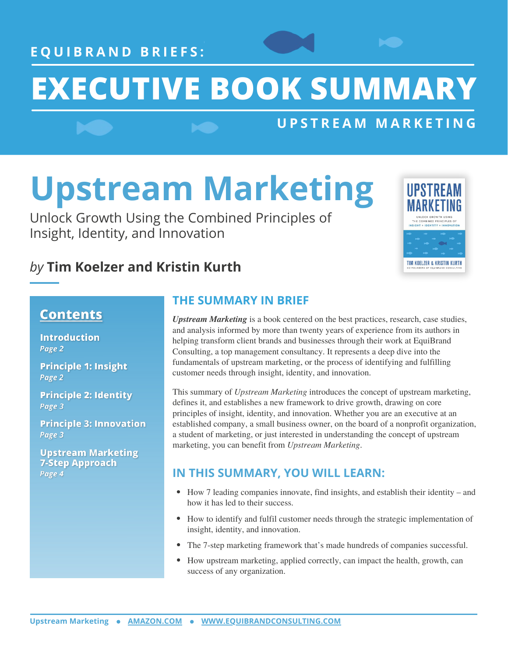**E Q U I B R A N D B R I E F S :**

# **EXECUTIVE BOOK SUMMARY**

## **U P S T R E A M M A R K E T I N G**

# **Upstream Marketing**

Unlock Growth Using the Combined Principles of Insight, Identity, and Innovation



## *by* **Tim Koelzer and Kristin Kurth**

### **Contents**

**Introduction** Page 2

**Principle 1: Insight** Page 2

**Principle 2: Identity** Page 3

**Principle 3: Innovation** Page 3

**Upstream Marketing 7-Step Approach** Page 4

## **THE SUMMARY IN BRIEF**

*Upstream Marketing* is a book centered on the best practices, research, case studies, and analysis informed by more than twenty years of experience from its authors in helping transform client brands and businesses through their work at EquiBrand Consulting, a top management consultancy. It represents a deep dive into the fundamentals of upstream marketing, or the process of identifying and fulfilling customer needs through insight, identity, and innovation.

This summary of *Upstream Marketing* introduces the concept of upstream marketing, defines it, and establishes a new framework to drive growth, drawing on core principles of insight, identity, and innovation. Whether you are an executive at an established company, a small business owner, on the board of a nonprofit organization, a student of marketing, or just interested in understanding the concept of upstream marketing, you can benefit from *Upstream Marketing*.

## **IN THIS SUMMARY, YOU WILL LEARN:**

- How 7 leading companies innovate, find insights, and establish their identity and  $\bullet$ how it has led to their success.
- How to identify and fulfil customer needs through the strategic implementation of insight, identity, and innovation.
- The 7-step marketing framework that's made hundreds of companies successful.
- How upstream marketing, applied correctly, can impact the health, growth, can success of any organization.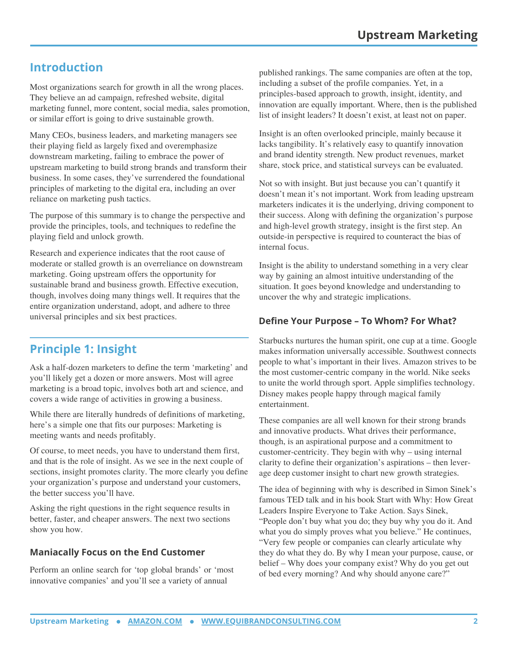## **Introduction**

Most organizations search for growth in all the wrong places. They believe an ad campaign, refreshed website, digital marketing funnel, more content, social media, sales promotion, or similar effort is going to drive sustainable growth.

Many CEOs, business leaders, and marketing managers see their playing field as largely fixed and overemphasize downstream marketing, failing to embrace the power of upstream marketing to build strong brands and transform their business. In some cases, they've surrendered the foundational principles of marketing to the digital era, including an over reliance on marketing push tactics.

The purpose of this summary is to change the perspective and provide the principles, tools, and techniques to redefine the playing field and unlock growth.

Research and experience indicates that the root cause of moderate or stalled growth is an overreliance on downstream marketing. Going upstream offers the opportunity for sustainable brand and business growth. Effective execution, though, involves doing many things well. It requires that the entire organization understand, adopt, and adhere to three universal principles and six best practices.

## **Principle 1: Insight**

Ask a half-dozen marketers to define the term 'marketing' and you'll likely get a dozen or more answers. Most will agree marketing is a broad topic, involves both art and science, and covers a wide range of activities in growing a business.

While there are literally hundreds of definitions of marketing, here's a simple one that fits our purposes: Marketing is meeting wants and needs profitably.

Of course, to meet needs, you have to understand them first, and that is the role of insight. As we see in the next couple of sections, insight promotes clarity. The more clearly you define your organization's purpose and understand your customers, the better success you'll have.

Asking the right questions in the right sequence results in better, faster, and cheaper answers. The next two sections show you how.

#### **Maniacally Focus on the End Customer**

Perform an online search for 'top global brands' or 'most innovative companies' and you'll see a variety of annual

published rankings. The same companies are often at the top, including a subset of the profile companies. Yet, in a principles-based approach to growth, insight, identity, and innovation are equally important. Where, then is the published list of insight leaders? It doesn't exist, at least not on paper.

Insight is an often overlooked principle, mainly because it lacks tangibility. It's relatively easy to quantify innovation and brand identity strength. New product revenues, market share, stock price, and statistical surveys can be evaluated.

Not so with insight. But just because you can't quantify it doesn't mean it's not important. Work from leading upstream marketers indicates it is the underlying, driving component to their success. Along with defining the organization's purpose and high-level growth strategy, insight is the first step. An outside-in perspective is required to counteract the bias of internal focus.

Insight is the ability to understand something in a very clear way by gaining an almost intuitive understanding of the situation. It goes beyond knowledge and understanding to uncover the why and strategic implications.

#### **Define Your Purpose – To Whom? For What?**

Starbucks nurtures the human spirit, one cup at a time. Google makes information universally accessible. Southwest connects people to what's important in their lives. Amazon strives to be the most customer-centric company in the world. Nike seeks to unite the world through sport. Apple simplifies technology. Disney makes people happy through magical family entertainment.

These companies are all well known for their strong brands and innovative products. What drives their performance, though, is an aspirational purpose and a commitment to customer-centricity. They begin with why – using internal clarity to define their organization's aspirations – then leverage deep customer insight to chart new growth strategies.

The idea of beginning with why is described in Simon Sinek's famous TED talk and in his book Start with Why: How Great Leaders Inspire Everyone to Take Action. Says Sinek, "People don't buy what you do; they buy why you do it. And what you do simply proves what you believe." He continues, "Very few people or companies can clearly articulate why they do what they do. By why I mean your purpose, cause, or belief – Why does your company exist? Why do you get out of bed every morning? And why should anyone care?"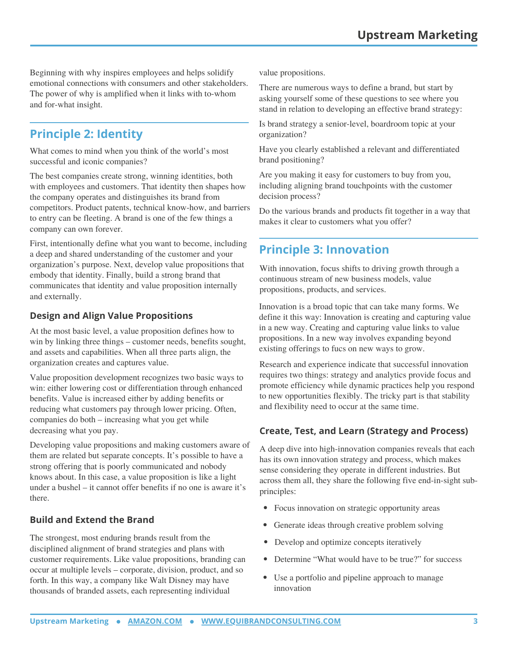Beginning with why inspires employees and helps solidify emotional connections with consumers and other stakeholders. The power of why is amplified when it links with to-whom and for-what insight.

## **Principle 2: Identity**

What comes to mind when you think of the world's most successful and iconic companies?

The best companies create strong, winning identities, both with employees and customers. That identity then shapes how the company operates and distinguishes its brand from competitors. Product patents, technical know-how, and barriers to entry can be fleeting. A brand is one of the few things a company can own forever.

First, intentionally define what you want to become, including a deep and shared understanding of the customer and your organization's purpose. Next, develop value propositions that embody that identity. Finally, build a strong brand that communicates that identity and value proposition internally and externally.

#### **Design and Align Value Propositions**

At the most basic level, a value proposition defines how to win by linking three things – customer needs, benefits sought, and assets and capabilities. When all three parts align, the organization creates and captures value.

Value proposition development recognizes two basic ways to win: either lowering cost or differentiation through enhanced benefits. Value is increased either by adding benefits or reducing what customers pay through lower pricing. Often, companies do both – increasing what you get while decreasing what you pay.

Developing value propositions and making customers aware of them are related but separate concepts. It's possible to have a strong offering that is poorly communicated and nobody knows about. In this case, a value proposition is like a light under a bushel – it cannot offer benefits if no one is aware it's there.

#### **Build and Extend the Brand**

The strongest, most enduring brands result from the disciplined alignment of brand strategies and plans with customer requirements. Like value propositions, branding can occur at multiple levels – corporate, division, product, and so forth. In this way, a company like Walt Disney may have thousands of branded assets, each representing individual

value propositions.

There are numerous ways to define a brand, but start by asking yourself some of these questions to see where you stand in relation to developing an effective brand strategy:

Is brand strategy a senior-level, boardroom topic at your organization?

Have you clearly established a relevant and differentiated brand positioning?

Are you making it easy for customers to buy from you, including aligning brand touchpoints with the customer decision process?

Do the various brands and products fit together in a way that makes it clear to customers what you offer?

## **Principle 3: Innovation**

With innovation, focus shifts to driving growth through a continuous stream of new business models, value propositions, products, and services.

Innovation is a broad topic that can take many forms. We define it this way: Innovation is creating and capturing value in a new way. Creating and capturing value links to value propositions. In a new way involves expanding beyond existing offerings to fucs on new ways to grow.

Research and experience indicate that successful innovation requires two things: strategy and analytics provide focus and promote efficiency while dynamic practices help you respond to new opportunities flexibly. The tricky part is that stability and flexibility need to occur at the same time.

#### **Create, Test, and Learn (Strategy and Process)**

A deep dive into high-innovation companies reveals that each has its own innovation strategy and process, which makes sense considering they operate in different industries. But across them all, they share the following five end-in-sight subprinciples:

- Focus innovation on strategic opportunity areas
- Generate ideas through creative problem solving
- Develop and optimize concepts iteratively
- Determine "What would have to be true?" for success
- Use a portfolio and pipeline approach to manage innovation